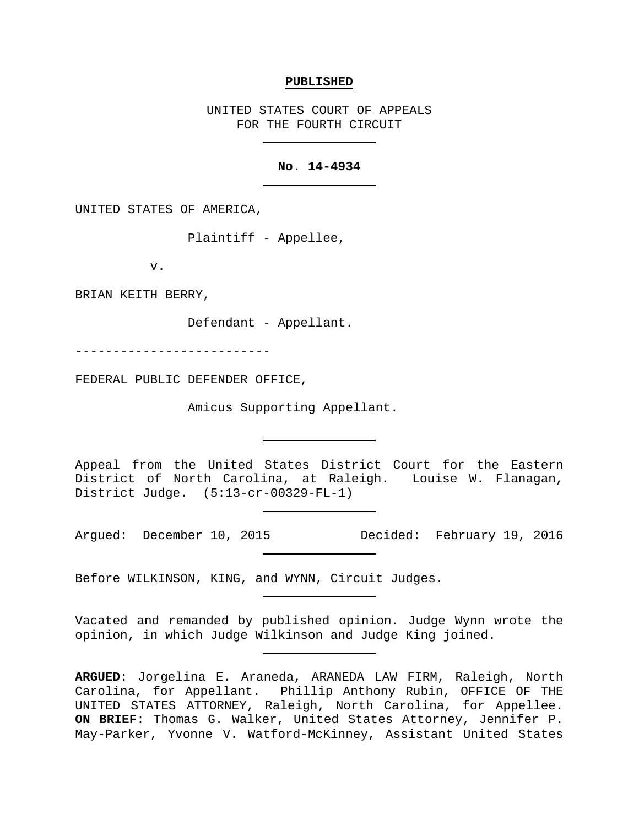#### **PUBLISHED**

UNITED STATES COURT OF APPEALS FOR THE FOURTH CIRCUIT

### **No. 14-4934**

UNITED STATES OF AMERICA,

Plaintiff - Appellee,

v.

BRIAN KEITH BERRY,

Defendant - Appellant.

--------------------------

FEDERAL PUBLIC DEFENDER OFFICE,

Amicus Supporting Appellant.

Appeal from the United States District Court for the Eastern District of North Carolina, at Raleigh. Louise W. Flanagan, District Judge. (5:13-cr-00329-FL-1)

Argued: December 10, 2015 Decided: February 19, 2016

Before WILKINSON, KING, and WYNN, Circuit Judges.

Vacated and remanded by published opinion. Judge Wynn wrote the opinion, in which Judge Wilkinson and Judge King joined.

**ARGUED**: Jorgelina E. Araneda, ARANEDA LAW FIRM, Raleigh, North Carolina, for Appellant. Phillip Anthony Rubin, OFFICE OF THE UNITED STATES ATTORNEY, Raleigh, North Carolina, for Appellee. **ON BRIEF**: Thomas G. Walker, United States Attorney, Jennifer P. May-Parker, Yvonne V. Watford-McKinney, Assistant United States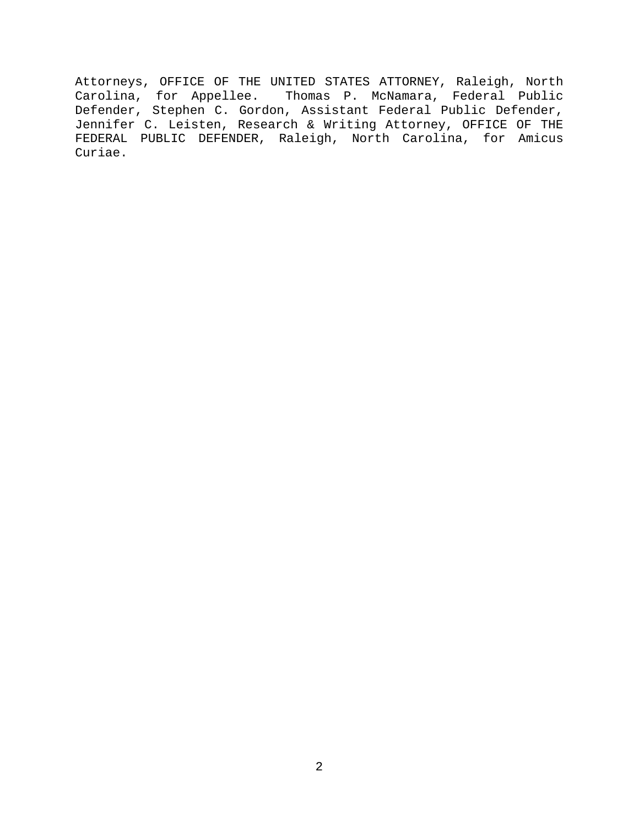Attorneys, OFFICE OF THE UNITED STATES ATTORNEY, Raleigh, North Carolina, for Appellee. Thomas P. McNamara, Federal Public Defender, Stephen C. Gordon, Assistant Federal Public Defender, Jennifer C. Leisten, Research & Writing Attorney, OFFICE OF THE FEDERAL PUBLIC DEFENDER, Raleigh, North Carolina, for Amicus Curiae.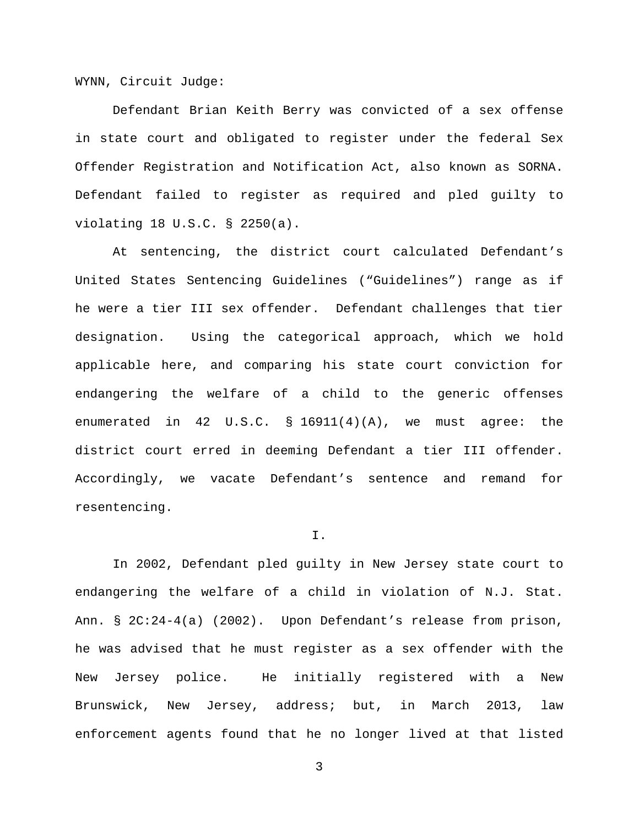WYNN, Circuit Judge:

Defendant Brian Keith Berry was convicted of a sex offense in state court and obligated to register under the federal Sex Offender Registration and Notification Act, also known as SORNA. Defendant failed to register as required and pled guilty to violating 18 U.S.C. § 2250(a).

At sentencing, the district court calculated Defendant's United States Sentencing Guidelines ("Guidelines") range as if he were a tier III sex offender. Defendant challenges that tier designation. Using the categorical approach, which we hold applicable here, and comparing his state court conviction for endangering the welfare of a child to the generic offenses enumerated in 42 U.S.C. § 16911(4)(A), we must agree: the district court erred in deeming Defendant a tier III offender. Accordingly, we vacate Defendant's sentence and remand for resentencing.

### I.

In 2002, Defendant pled guilty in New Jersey state court to endangering the welfare of a child in violation of N.J. Stat. Ann. § 2C:24-4(a) (2002). Upon Defendant's release from prison, he was advised that he must register as a sex offender with the New Jersey police. He initially registered with a New Brunswick, New Jersey, address; but, in March 2013, law enforcement agents found that he no longer lived at that listed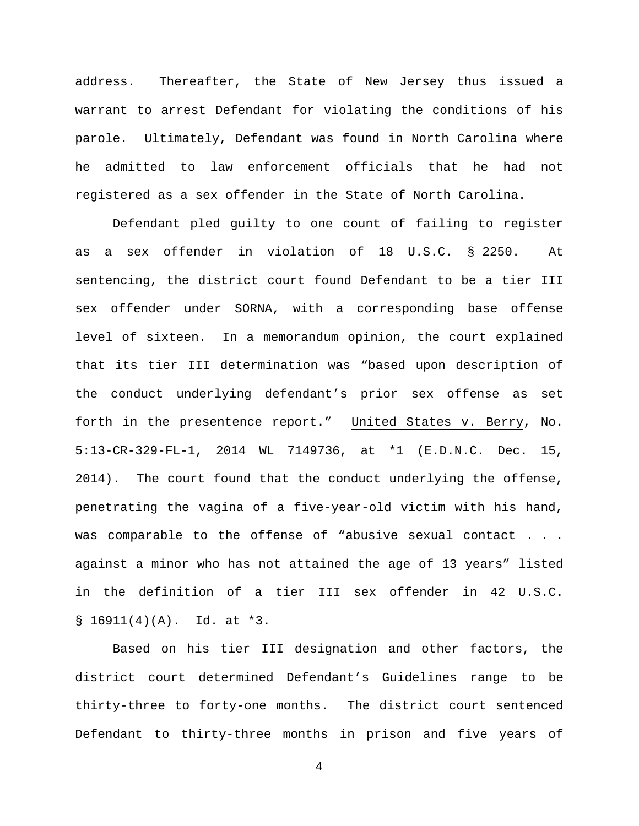address. Thereafter, the State of New Jersey thus issued a warrant to arrest Defendant for violating the conditions of his parole. Ultimately, Defendant was found in North Carolina where he admitted to law enforcement officials that he had not registered as a sex offender in the State of North Carolina.

Defendant pled guilty to one count of failing to register as a sex offender in violation of 18 U.S.C. § 2250. At sentencing, the district court found Defendant to be a tier III sex offender under SORNA, with a corresponding base offense level of sixteen. In a memorandum opinion, the court explained that its tier III determination was "based upon description of the conduct underlying defendant's prior sex offense as set forth in the presentence report." United States v. Berry, No. 5:13-CR-329-FL-1, 2014 WL 7149736, at \*1 (E.D.N.C. Dec. 15, 2014). The court found that the conduct underlying the offense, penetrating the vagina of a five-year-old victim with his hand, was comparable to the offense of "abusive sexual contact . . . against a minor who has not attained the age of 13 years" listed in the definition of a tier III sex offender in 42 U.S.C.  $$16911(4)(A).$  Id. at \*3.

Based on his tier III designation and other factors, the district court determined Defendant's Guidelines range to be thirty-three to forty-one months. The district court sentenced Defendant to thirty-three months in prison and five years of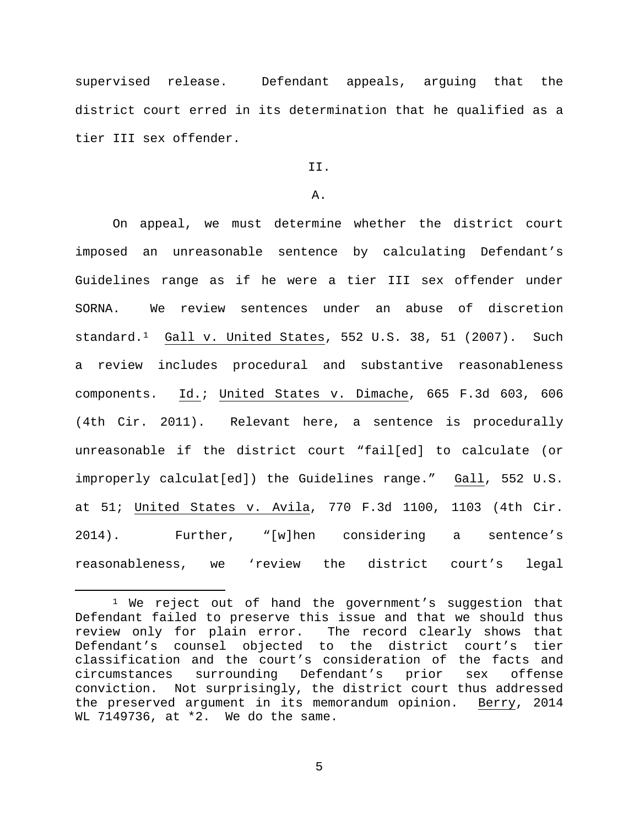supervised release. Defendant appeals, arguing that the district court erred in its determination that he qualified as a tier III sex offender.

# II.

## A.

On appeal, we must determine whether the district court imposed an unreasonable sentence by calculating Defendant's Guidelines range as if he were a tier III sex offender under SORNA. We review sentences under an abuse of discretion standard.[1](#page-4-0) Gall v. United States, 552 U.S. 38, 51 (2007). Such a review includes procedural and substantive reasonableness components. Id.; United States v. Dimache, 665 F.3d 603, 606 (4th Cir. 2011). Relevant here, a sentence is procedurally unreasonable if the district court "fail[ed] to calculate (or improperly calculat[ed]) the Guidelines range." Gall, 552 U.S. at 51; United States v. Avila, 770 F.3d 1100, 1103 (4th Cir. 2014). Further, "[w]hen considering a sentence's reasonableness, we 'review the district court's legal

<span id="page-4-0"></span><sup>&</sup>lt;sup>1</sup> We reject out of hand the government's suggestion that Defendant failed to preserve this issue and that we should thus review only for plain error. The record clearly shows that Defendant's counsel objected to the district court's tier classification and the court's consideration of the facts and<br>circumstances surrounding Defendant's prior sex offense circumstances surrounding Defendant's prior sex offense conviction. Not surprisingly, the district court thus addressed the preserved argument in its memorandum opinion. Berry, 2014 WL 7149736, at \*2. We do the same.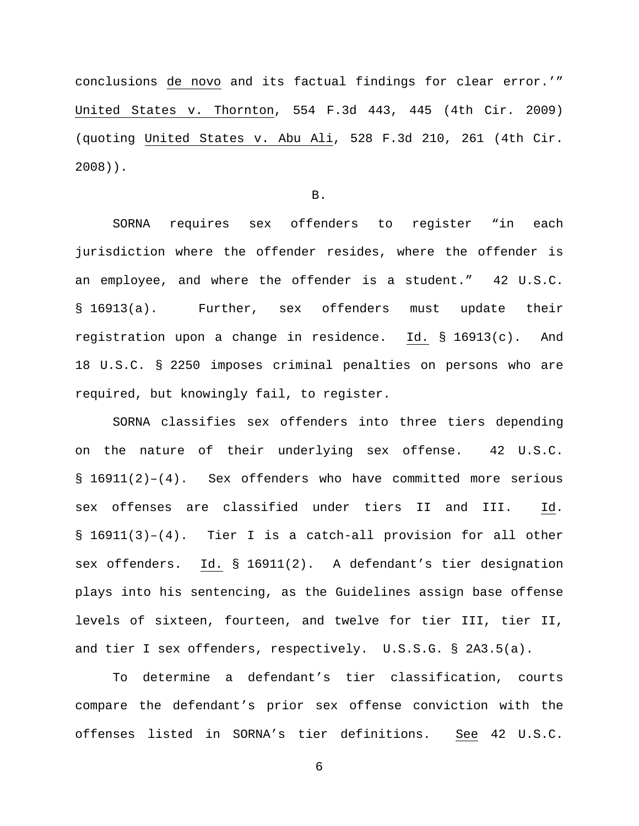conclusions de novo and its factual findings for clear error.'" United States v. Thornton, 554 F.3d 443, 445 (4th Cir. 2009) (quoting United States v. Abu Ali, 528 F.3d 210, 261 (4th Cir. 2008)).

B.

SORNA requires sex offenders to register "in each jurisdiction where the offender resides, where the offender is an employee, and where the offender is a student." 42 U.S.C. § 16913(a). Further, sex offenders must update their registration upon a change in residence. Id. § 16913(c). And 18 U.S.C. § 2250 imposes criminal penalties on persons who are required, but knowingly fail, to register.

SORNA classifies sex offenders into three tiers depending on the nature of their underlying sex offense. 42 U.S.C.  $\S$  16911(2)-(4). Sex offenders who have committed more serious sex offenses are classified under tiers II and III. Id. § 16911(3)–(4). Tier I is a catch-all provision for all other sex offenders. Id. § 16911(2). A defendant's tier designation plays into his sentencing, as the Guidelines assign base offense levels of sixteen, fourteen, and twelve for tier III, tier II, and tier I sex offenders, respectively. U.S.S.G. § 2A3.5(a).

To determine a defendant's tier classification, courts compare the defendant's prior sex offense conviction with the offenses listed in SORNA's tier definitions. See 42 U.S.C.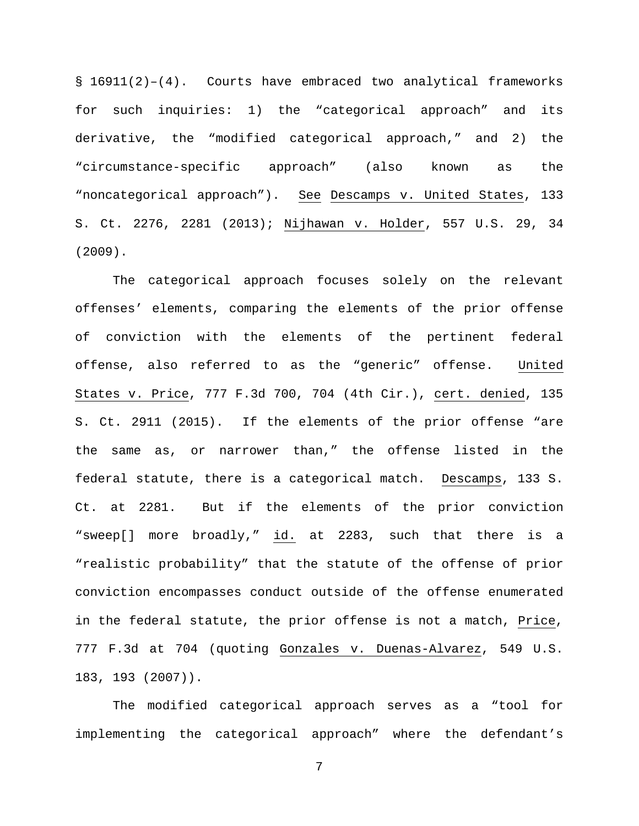§ 16911(2)–(4). Courts have embraced two analytical frameworks for such inquiries: 1) the "categorical approach" and its derivative, the "modified categorical approach," and 2) the "circumstance-specific approach" (also known as the "noncategorical approach"). See Descamps v. United States, 133 S. Ct. 2276, 2281 (2013); Nijhawan v. Holder, 557 U.S. 29, 34 (2009).

The categorical approach focuses solely on the relevant offenses' elements, comparing the elements of the prior offense of conviction with the elements of the pertinent federal offense, also referred to as the "generic" offense. United States v. Price, 777 F.3d 700, 704 (4th Cir.), cert. denied, 135 S. Ct. 2911 (2015). If the elements of the prior offense "are the same as, or narrower than," the offense listed in the federal statute, there is a categorical match. Descamps, 133 S. Ct. at 2281. But if the elements of the prior conviction "sweep[] more broadly," id. at 2283, such that there is a "realistic probability" that the statute of the offense of prior conviction encompasses conduct outside of the offense enumerated in the federal statute, the prior offense is not a match, Price, 777 F.3d at 704 (quoting Gonzales v. Duenas-Alvarez, 549 U.S. 183, 193 (2007)).

The modified categorical approach serves as a "tool for implementing the categorical approach" where the defendant's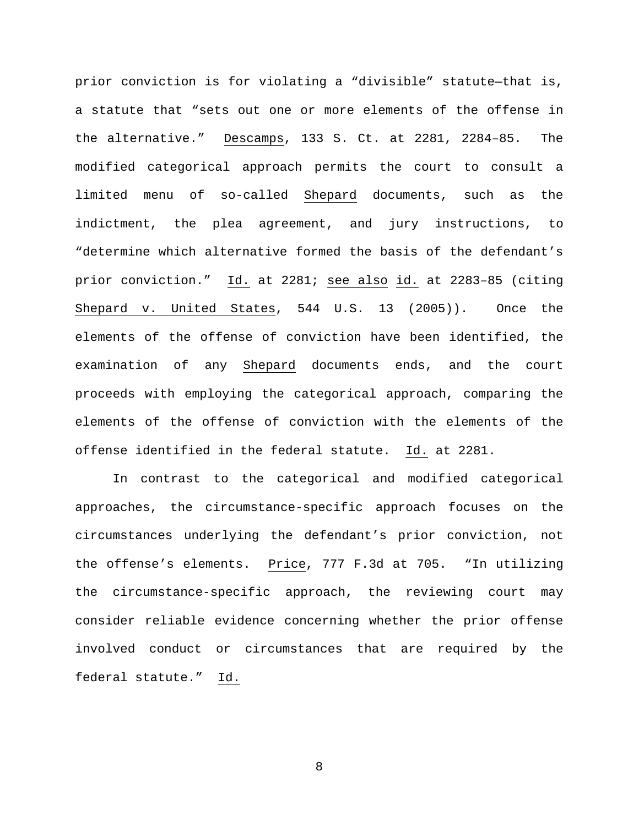prior conviction is for violating a "divisible" statute—that is, a statute that "sets out one or more elements of the offense in the alternative." Descamps, 133 S. Ct. at 2281, 2284–85. The modified categorical approach permits the court to consult a limited menu of so-called Shepard documents, such as the indictment, the plea agreement, and jury instructions, to "determine which alternative formed the basis of the defendant's prior conviction." Id. at 2281; see also id. at 2283–85 (citing Shepard v. United States, 544 U.S. 13 (2005)). Once the elements of the offense of conviction have been identified, the examination of any Shepard documents ends, and the court proceeds with employing the categorical approach, comparing the elements of the offense of conviction with the elements of the offense identified in the federal statute. Id. at 2281.

In contrast to the categorical and modified categorical approaches, the circumstance-specific approach focuses on the circumstances underlying the defendant's prior conviction, not the offense's elements. Price, 777 F.3d at 705. "In utilizing the circumstance-specific approach, the reviewing court may consider reliable evidence concerning whether the prior offense involved conduct or circumstances that are required by the federal statute." Id.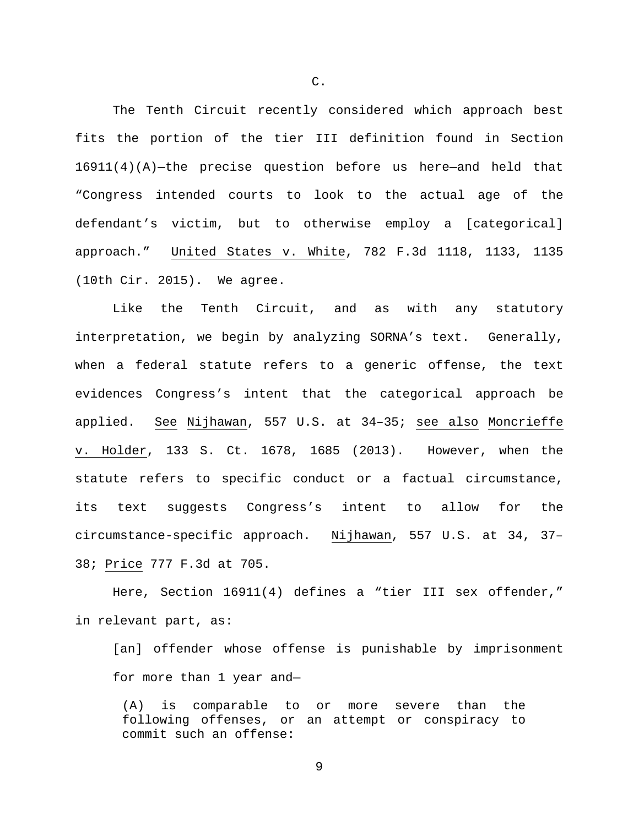The Tenth Circuit recently considered which approach best fits the portion of the tier III definition found in Section 16911(4)(A)—the precise question before us here—and held that "Congress intended courts to look to the actual age of the defendant's victim, but to otherwise employ a [categorical] approach." United States v. White, 782 F.3d 1118, 1133, 1135 (10th Cir. 2015). We agree.

Like the Tenth Circuit, and as with any statutory interpretation, we begin by analyzing SORNA's text. Generally, when a federal statute refers to a generic offense, the text evidences Congress's intent that the categorical approach be applied. See Nijhawan, 557 U.S. at 34–35; see also Moncrieffe v. Holder, 133 S. Ct. 1678, 1685 (2013). However, when the statute refers to specific conduct or a factual circumstance, its text suggests Congress's intent to allow for the circumstance-specific approach. Nijhawan, 557 U.S. at 34, 37– 38; Price 777 F.3d at 705.

Here, Section 16911(4) defines a "tier III sex offender," in relevant part, as:

[an] offender whose offense is punishable by imprisonment for more than 1 year and—

(A) is comparable to or more severe than the following offenses, or an attempt or conspiracy to commit such an offense:

C.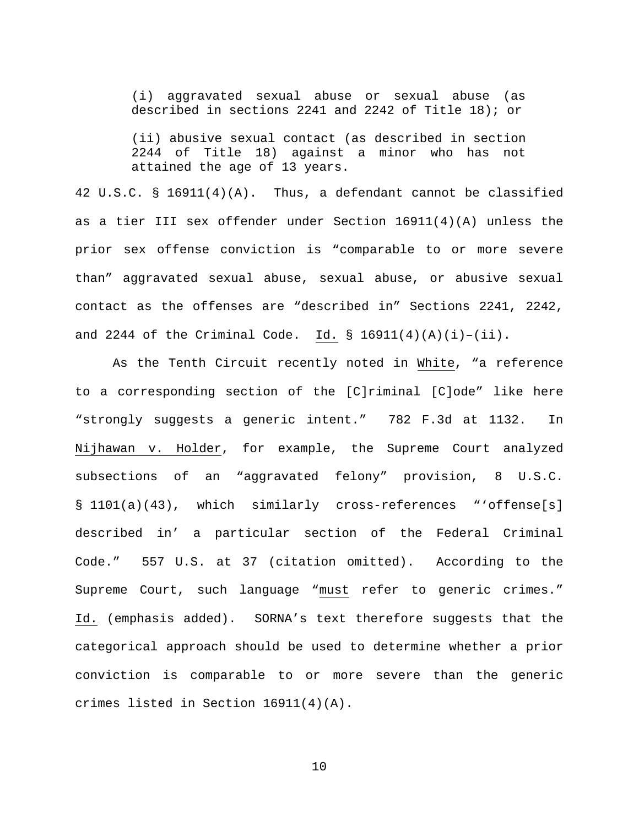(i) aggravated sexual abuse or sexual abuse (as described in sections 2241 and 2242 of Title 18); or

(ii) abusive sexual contact (as described in section 2244 of Title 18) against a minor who has not attained the age of 13 years.

42 U.S.C. § 16911(4)(A). Thus, a defendant cannot be classified as a tier III sex offender under Section 16911(4)(A) unless the prior sex offense conviction is "comparable to or more severe than" aggravated sexual abuse, sexual abuse, or abusive sexual contact as the offenses are "described in" Sections 2241, 2242, and 2244 of the Criminal Code. Id. §  $16911(4)(A)(i)-(ii)$ .

As the Tenth Circuit recently noted in White, "a reference to a corresponding section of the [C]riminal [C]ode" like here "strongly suggests a generic intent." 782 F.3d at 1132. In Nijhawan v. Holder, for example, the Supreme Court analyzed subsections of an "aggravated felony" provision, 8 U.S.C. § 1101(a)(43), which similarly cross-references "'offense[s] described in' a particular section of the Federal Criminal Code." 557 U.S. at 37 (citation omitted). According to the Supreme Court, such language "must refer to generic crimes." Id. (emphasis added). SORNA's text therefore suggests that the categorical approach should be used to determine whether a prior conviction is comparable to or more severe than the generic crimes listed in Section 16911(4)(A).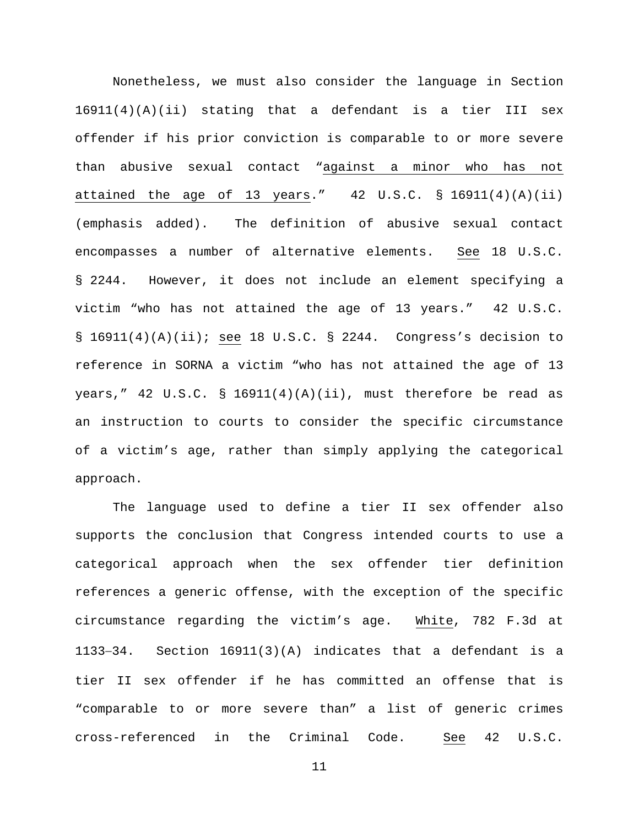Nonetheless, we must also consider the language in Section 16911(4)(A)(ii) stating that a defendant is a tier III sex offender if his prior conviction is comparable to or more severe than abusive sexual contact "against a minor who has not attained the age of 13 years." 42 U.S.C. § 16911(4)(A)(ii) (emphasis added). The definition of abusive sexual contact encompasses a number of alternative elements. See 18 U.S.C. § 2244. However, it does not include an element specifying a victim "who has not attained the age of 13 years." 42 U.S.C.  $\S$  16911(4)(A)(ii); see 18 U.S.C.  $\S$  2244. Congress's decision to reference in SORNA a victim "who has not attained the age of 13 years," 42 U.S.C. § 16911(4)(A)(ii), must therefore be read as an instruction to courts to consider the specific circumstance of a victim's age, rather than simply applying the categorical approach.

The language used to define a tier II sex offender also supports the conclusion that Congress intended courts to use a categorical approach when the sex offender tier definition references a generic offense, with the exception of the specific circumstance regarding the victim's age. White, 782 F.3d at 1133−34. Section 16911(3)(A) indicates that a defendant is a tier II sex offender if he has committed an offense that is "comparable to or more severe than" a list of generic crimes cross-referenced in the Criminal Code. See 42 U.S.C.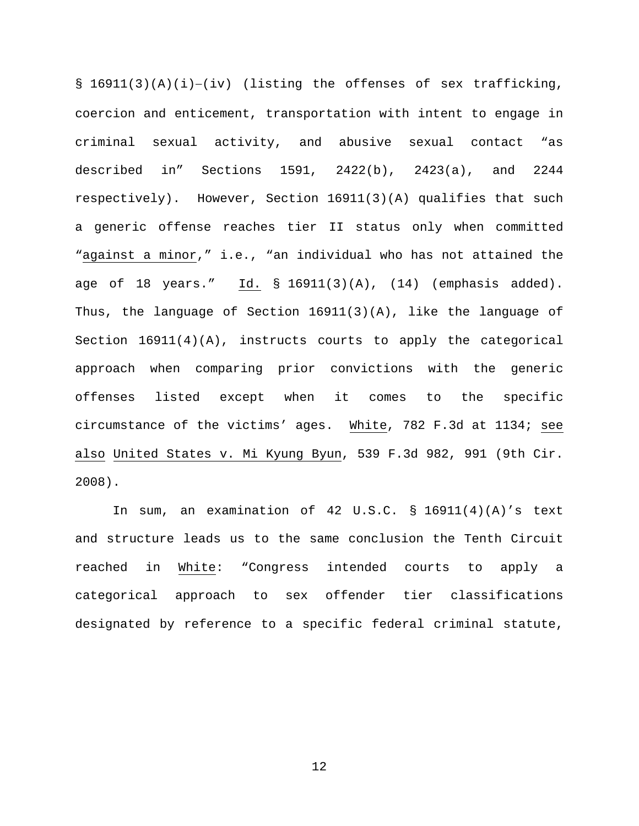§ 16911(3)(A)(i)−(iv) (listing the offenses of sex trafficking, coercion and enticement, transportation with intent to engage in criminal sexual activity, and abusive sexual contact "as described in" Sections 1591, 2422(b), 2423(a), and 2244 respectively). However, Section 16911(3)(A) qualifies that such a generic offense reaches tier II status only when committed "against a minor," i.e., "an individual who has not attained the age of 18 years." Id. § 16911(3)(A), (14) (emphasis added). Thus, the language of Section 16911(3)(A), like the language of Section 16911(4)(A), instructs courts to apply the categorical approach when comparing prior convictions with the generic offenses listed except when it comes to the specific circumstance of the victims' ages. White, 782 F.3d at 1134; see also United States v. Mi Kyung Byun, 539 F.3d 982, 991 (9th Cir. 2008).

In sum, an examination of 42 U.S.C. § 16911(4)(A)'s text and structure leads us to the same conclusion the Tenth Circuit reached in White: "Congress intended courts to apply a categorical approach to sex offender tier classifications designated by reference to a specific federal criminal statute,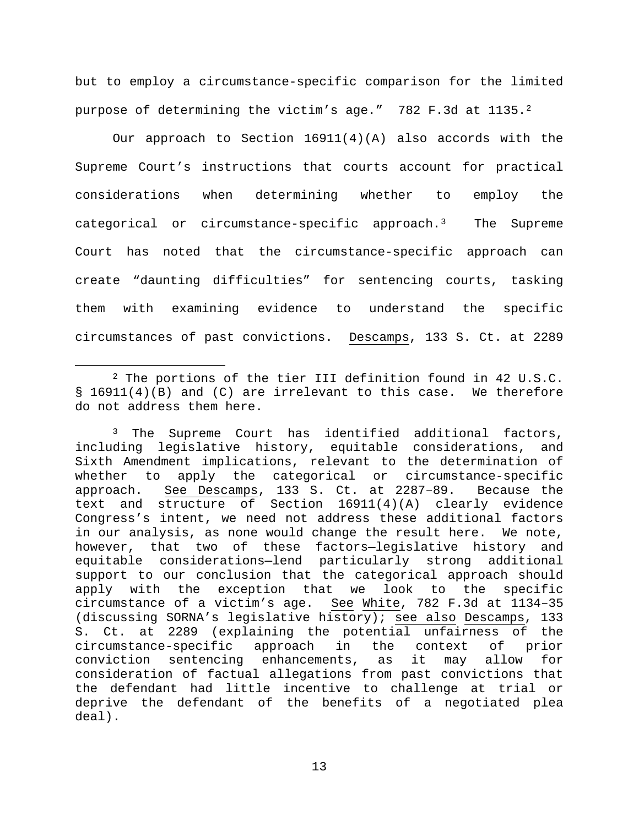but to employ a circumstance-specific comparison for the limited purpose of determining the victim's age." 782 F.3d at 1135.<sup>2</sup>

Our approach to Section 16911(4)(A) also accords with the Supreme Court's instructions that courts account for practical considerations when determining whether to employ the categorical or circumstance-specific approach.[3](#page-12-1) The Supreme Court has noted that the circumstance-specific approach can create "daunting difficulties" for sentencing courts, tasking them with examining evidence to understand the specific circumstances of past convictions. Descamps, 133 S. Ct. at 2289

<span id="page-12-0"></span> <sup>2</sup> The portions of the tier III definition found in 42 U.S.C. § 16911(4)(B) and (C) are irrelevant to this case. We therefore do not address them here.

<span id="page-12-1"></span><sup>&</sup>lt;sup>3</sup> The Supreme Court has identified additional factors, including legislative history, equitable considerations, and Sixth Amendment implications, relevant to the determination of<br>whether to apply the categorical or circumstance-specific apply the categorical or circumstance-specific approach. See Descamps, 133 S. Ct. at 2287–89. Because the text and structure of Section 16911(4)(A) clearly evidence Congress's intent, we need not address these additional factors in our analysis, as none would change the result here. We note, however, that two of these factors—legislative history and equitable considerations—lend particularly strong additional support to our conclusion that the categorical approach should apply with the exception that we look to the specific circumstance of a victim's age. See White, 782 F.3d at 1134–35 (discussing SORNA's legislative history); see also Descamps, 133 S. Ct. at 2289 (explaining the potential unfairness of the circumstance-specific approach in the context of prior circumstance-specific approach in the context of prior sentencing enhancements, as consideration of factual allegations from past convictions that the defendant had little incentive to challenge at trial or deprive the defendant of the benefits of a negotiated plea deal).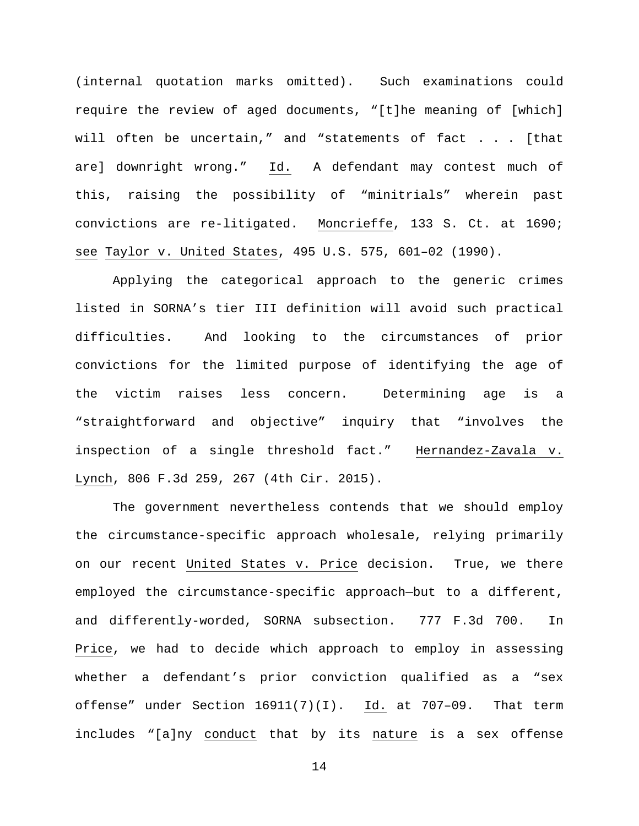(internal quotation marks omitted). Such examinations could require the review of aged documents, "[t]he meaning of [which] will often be uncertain," and "statements of fact . . . [that are] downright wrong." Id. A defendant may contest much of this, raising the possibility of "minitrials" wherein past convictions are re-litigated. Moncrieffe, 133 S. Ct. at 1690; see Taylor v. United States, 495 U.S. 575, 601–02 (1990).

Applying the categorical approach to the generic crimes listed in SORNA's tier III definition will avoid such practical difficulties. And looking to the circumstances of prior convictions for the limited purpose of identifying the age of the victim raises less concern. Determining age is a "straightforward and objective" inquiry that "involves the inspection of a single threshold fact." Hernandez-Zavala v. Lynch, 806 F.3d 259, 267 (4th Cir. 2015).

The government nevertheless contends that we should employ the circumstance-specific approach wholesale, relying primarily on our recent United States v. Price decision. True, we there employed the circumstance-specific approach—but to a different, and differently-worded, SORNA subsection. 777 F.3d 700. In Price, we had to decide which approach to employ in assessing whether a defendant's prior conviction qualified as a "sex offense" under Section 16911(7)(I). Id. at 707–09. That term includes "[a]ny conduct that by its nature is a sex offense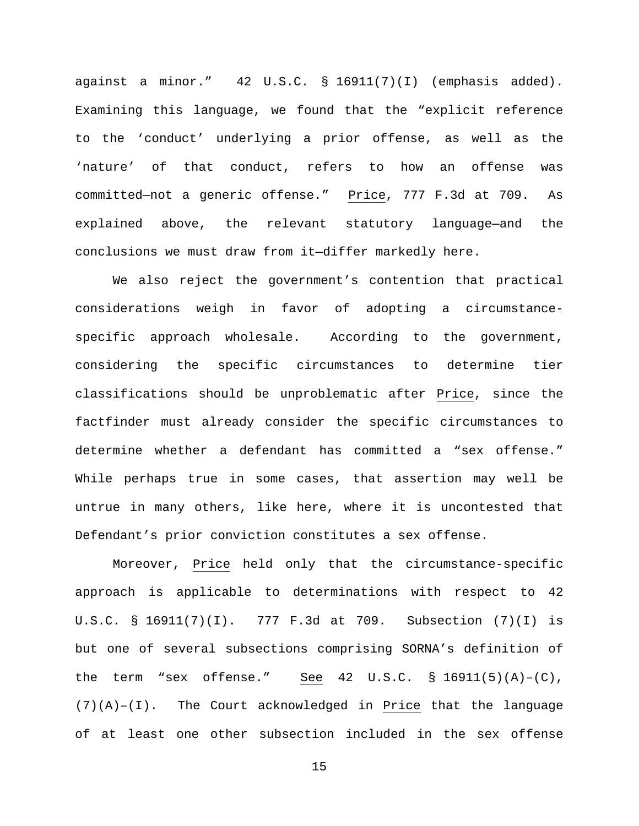against a minor." 42 U.S.C. § 16911(7)(I) (emphasis added). Examining this language, we found that the "explicit reference to the 'conduct' underlying a prior offense, as well as the 'nature' of that conduct, refers to how an offense was committed—not a generic offense." Price, 777 F.3d at 709. As explained above, the relevant statutory language—and the conclusions we must draw from it—differ markedly here.

We also reject the government's contention that practical considerations weigh in favor of adopting a circumstancespecific approach wholesale. According to the government, considering the specific circumstances to determine tier classifications should be unproblematic after Price, since the factfinder must already consider the specific circumstances to determine whether a defendant has committed a "sex offense." While perhaps true in some cases, that assertion may well be untrue in many others, like here, where it is uncontested that Defendant's prior conviction constitutes a sex offense.

Moreover, Price held only that the circumstance-specific approach is applicable to determinations with respect to 42 U.S.C. § 16911(7)(I). 777 F.3d at 709. Subsection (7)(I) is but one of several subsections comprising SORNA's definition of the term "sex offense." See 42 U.S.C. § 16911(5)(A)–(C), (7)(A)–(I). The Court acknowledged in Price that the language of at least one other subsection included in the sex offense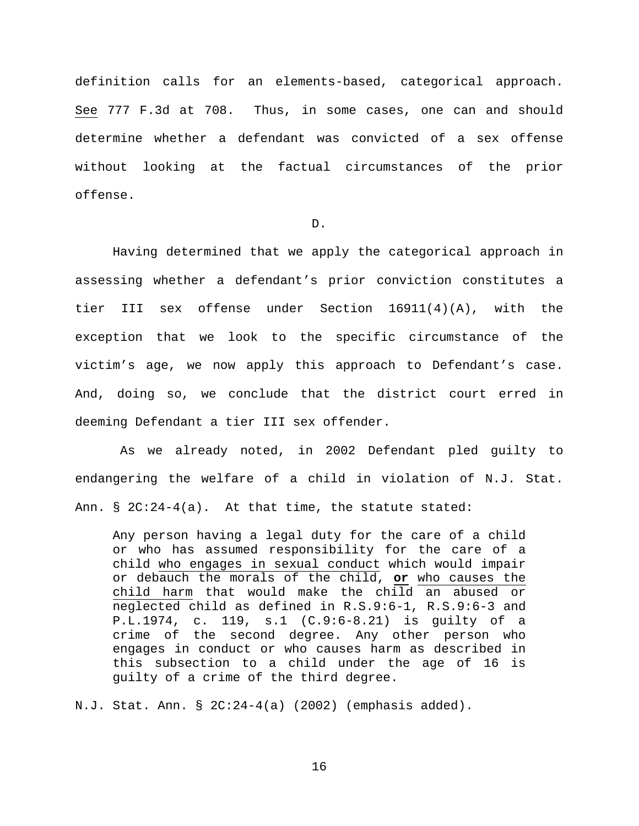definition calls for an elements-based, categorical approach. See 777 F.3d at 708. Thus, in some cases, one can and should determine whether a defendant was convicted of a sex offense without looking at the factual circumstances of the prior offense.

D.

Having determined that we apply the categorical approach in assessing whether a defendant's prior conviction constitutes a tier III sex offense under Section 16911(4)(A), with the exception that we look to the specific circumstance of the victim's age, we now apply this approach to Defendant's case. And, doing so, we conclude that the district court erred in deeming Defendant a tier III sex offender.

As we already noted, in 2002 Defendant pled guilty to endangering the welfare of a child in violation of N.J. Stat. Ann.  $\S$  2C:24-4(a). At that time, the statute stated:

Any person having a legal duty for the care of a child or who has assumed responsibility for the care of a child who engages in sexual conduct which would impair or debauch the morals of the child, **or** who causes the child harm that would make the child an abused or neglected child as defined in R.S.9:6-1, R.S.9:6-3 and P.L.1974, c. 119, s.1 (C.9:6-8.21) is guilty of a crime of the second degree. Any other person who engages in conduct or who causes harm as described in this subsection to a child under the age of 16 is guilty of a crime of the third degree.

N.J. Stat. Ann. § 2C:24-4(a) (2002) (emphasis added).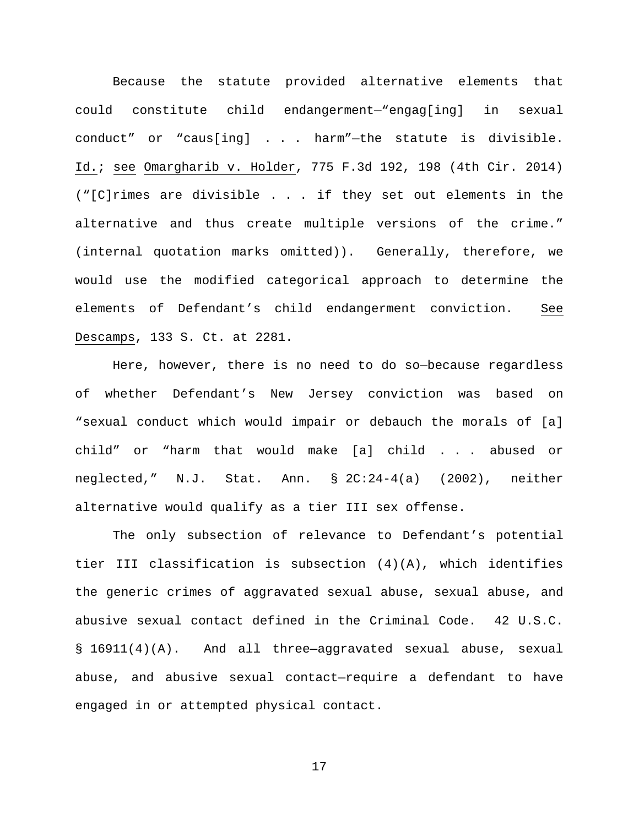Because the statute provided alternative elements that could constitute child endangerment—"engag[ing] in sexual conduct" or "caus[ing] . . . harm"—the statute is divisible. Id.; see Omargharib v. Holder, 775 F.3d 192, 198 (4th Cir. 2014) ("[C]rimes are divisible . . . if they set out elements in the alternative and thus create multiple versions of the crime." (internal quotation marks omitted)). Generally, therefore, we would use the modified categorical approach to determine the elements of Defendant's child endangerment conviction. See Descamps, 133 S. Ct. at 2281.

Here, however, there is no need to do so—because regardless of whether Defendant's New Jersey conviction was based on "sexual conduct which would impair or debauch the morals of [a] child" or "harm that would make [a] child . . . abused or neglected," N.J. Stat. Ann. § 2C:24-4(a) (2002), neither alternative would qualify as a tier III sex offense.

The only subsection of relevance to Defendant's potential tier III classification is subsection  $(4)(A)$ , which identifies the generic crimes of aggravated sexual abuse, sexual abuse, and abusive sexual contact defined in the Criminal Code. 42 U.S.C. § 16911(4)(A). And all three—aggravated sexual abuse, sexual abuse, and abusive sexual contact—require a defendant to have engaged in or attempted physical contact.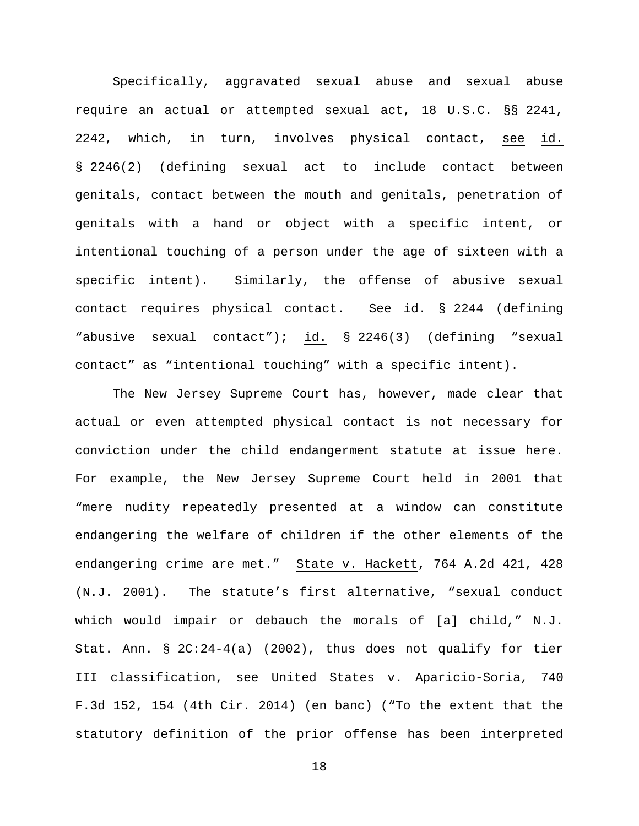Specifically, aggravated sexual abuse and sexual abuse require an actual or attempted sexual act, 18 U.S.C. §§ 2241, 2242, which, in turn, involves physical contact, see id. § 2246(2) (defining sexual act to include contact between genitals, contact between the mouth and genitals, penetration of genitals with a hand or object with a specific intent, or intentional touching of a person under the age of sixteen with a specific intent). Similarly, the offense of abusive sexual contact requires physical contact. See id. § 2244 (defining "abusive sexual contact"); id. § 2246(3) (defining "sexual contact" as "intentional touching" with a specific intent).

The New Jersey Supreme Court has, however, made clear that actual or even attempted physical contact is not necessary for conviction under the child endangerment statute at issue here. For example, the New Jersey Supreme Court held in 2001 that "mere nudity repeatedly presented at a window can constitute endangering the welfare of children if the other elements of the endangering crime are met." State v. Hackett, 764 A.2d 421, 428 (N.J. 2001). The statute's first alternative, "sexual conduct which would impair or debauch the morals of [a] child," N.J. Stat. Ann. § 2C:24-4(a) (2002), thus does not qualify for tier III classification, see United States v. Aparicio-Soria, 740 F.3d 152, 154 (4th Cir. 2014) (en banc) ("To the extent that the statutory definition of the prior offense has been interpreted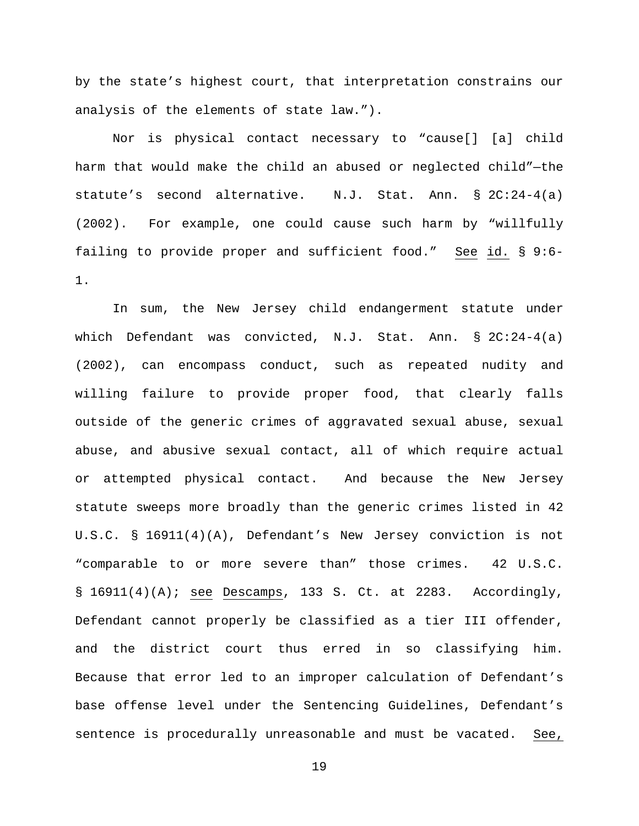by the state's highest court, that interpretation constrains our analysis of the elements of state law.").

Nor is physical contact necessary to "cause[] [a] child harm that would make the child an abused or neglected child"—the statute's second alternative. N.J. Stat. Ann. § 2C:24-4(a) (2002). For example, one could cause such harm by "willfully failing to provide proper and sufficient food." See id. § 9:6- 1.

In sum, the New Jersey child endangerment statute under which Defendant was convicted, N.J. Stat. Ann. § 2C:24-4(a) (2002), can encompass conduct, such as repeated nudity and willing failure to provide proper food, that clearly falls outside of the generic crimes of aggravated sexual abuse, sexual abuse, and abusive sexual contact, all of which require actual or attempted physical contact. And because the New Jersey statute sweeps more broadly than the generic crimes listed in 42 U.S.C. § 16911(4)(A), Defendant's New Jersey conviction is not "comparable to or more severe than" those crimes. 42 U.S.C.  $\S$  16911(4)(A); see Descamps, 133 S. Ct. at 2283. Accordingly, Defendant cannot properly be classified as a tier III offender, and the district court thus erred in so classifying him. Because that error led to an improper calculation of Defendant's base offense level under the Sentencing Guidelines, Defendant's sentence is procedurally unreasonable and must be vacated. See,